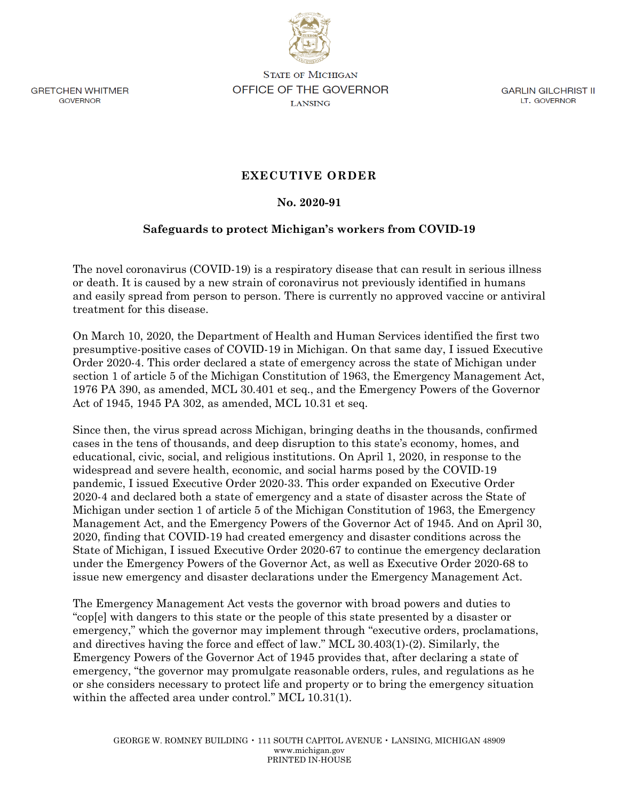

**GRETCHEN WHITMER** GOVERNOR

**STATE OF MICHIGAN** OFFICE OF THE GOVERNOR **LANSING** 

**GARLIN GILCHRIST II IT. GOVERNOR** 

## **EXECUTIVE ORDER**

## **No. 2020-91**

## **Safeguards to protect Michigan's workers from COVID-19**

The novel coronavirus (COVID-19) is a respiratory disease that can result in serious illness or death. It is caused by a new strain of coronavirus not previously identified in humans and easily spread from person to person. There is currently no approved vaccine or antiviral treatment for this disease.

On March 10, 2020, the Department of Health and Human Services identified the first two presumptive-positive cases of COVID-19 in Michigan. On that same day, I issued Executive Order 2020-4. This order declared a state of emergency across the state of Michigan under section 1 of article 5 of the Michigan Constitution of 1963, the Emergency Management Act, 1976 PA 390, as amended, MCL 30.401 et seq., and the Emergency Powers of the Governor Act of 1945, 1945 PA 302, as amended, MCL 10.31 et seq.

Since then, the virus spread across Michigan, bringing deaths in the thousands, confirmed cases in the tens of thousands, and deep disruption to this state's economy, homes, and educational, civic, social, and religious institutions. On April 1, 2020, in response to the widespread and severe health, economic, and social harms posed by the COVID-19 pandemic, I issued Executive Order 2020-33. This order expanded on Executive Order 2020-4 and declared both a state of emergency and a state of disaster across the State of Michigan under section 1 of article 5 of the Michigan Constitution of 1963, the Emergency Management Act, and the Emergency Powers of the Governor Act of 1945. And on April 30, 2020, finding that COVID-19 had created emergency and disaster conditions across the State of Michigan, I issued Executive Order 2020-67 to continue the emergency declaration under the Emergency Powers of the Governor Act, as well as Executive Order 2020-68 to issue new emergency and disaster declarations under the Emergency Management Act.

The Emergency Management Act vests the governor with broad powers and duties to "cop[e] with dangers to this state or the people of this state presented by a disaster or emergency," which the governor may implement through "executive orders, proclamations, and directives having the force and effect of law." MCL 30.403(1)-(2). Similarly, the Emergency Powers of the Governor Act of 1945 provides that, after declaring a state of emergency, "the governor may promulgate reasonable orders, rules, and regulations as he or she considers necessary to protect life and property or to bring the emergency situation within the affected area under control." MCL 10.31(1).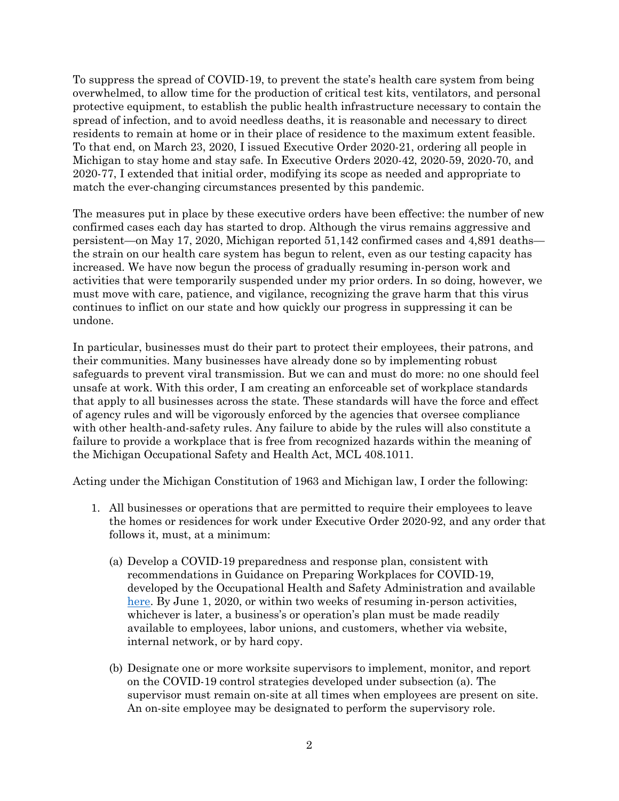To suppress the spread of COVID-19, to prevent the state's health care system from being overwhelmed, to allow time for the production of critical test kits, ventilators, and personal protective equipment, to establish the public health infrastructure necessary to contain the spread of infection, and to avoid needless deaths, it is reasonable and necessary to direct residents to remain at home or in their place of residence to the maximum extent feasible. To that end, on March 23, 2020, I issued Executive Order 2020-21, ordering all people in Michigan to stay home and stay safe. In Executive Orders 2020-42, 2020-59, 2020-70, and 2020-77, I extended that initial order, modifying its scope as needed and appropriate to match the ever-changing circumstances presented by this pandemic.

The measures put in place by these executive orders have been effective: the number of new confirmed cases each day has started to drop. Although the virus remains aggressive and persistent—on May 17, 2020, Michigan reported 51,142 confirmed cases and 4,891 deaths the strain on our health care system has begun to relent, even as our testing capacity has increased. We have now begun the process of gradually resuming in-person work and activities that were temporarily suspended under my prior orders. In so doing, however, we must move with care, patience, and vigilance, recognizing the grave harm that this virus continues to inflict on our state and how quickly our progress in suppressing it can be undone.

In particular, businesses must do their part to protect their employees, their patrons, and their communities. Many businesses have already done so by implementing robust safeguards to prevent viral transmission. But we can and must do more: no one should feel unsafe at work. With this order, I am creating an enforceable set of workplace standards that apply to all businesses across the state. These standards will have the force and effect of agency rules and will be vigorously enforced by the agencies that oversee compliance with other health-and-safety rules. Any failure to abide by the rules will also constitute a failure to provide a workplace that is free from recognized hazards within the meaning of the Michigan Occupational Safety and Health Act, MCL 408.1011.

Acting under the Michigan Constitution of 1963 and Michigan law, I order the following:

- 1. All businesses or operations that are permitted to require their employees to leave the homes or residences for work under Executive Order 2020-92, and any order that follows it, must, at a minimum:
	- (a) Develop a COVID-19 preparedness and response plan, consistent with recommendations in Guidance on Preparing Workplaces for COVID-19, developed by the Occupational Health and Safety Administration and available [here.](https://www.osha.gov/Publications/OSHA3990.pdf) By June 1, 2020, or within two weeks of resuming in-person activities, whichever is later, a business's or operation's plan must be made readily available to employees, labor unions, and customers, whether via website, internal network, or by hard copy.
	- (b) Designate one or more worksite supervisors to implement, monitor, and report on the COVID-19 control strategies developed under subsection (a). The supervisor must remain on-site at all times when employees are present on site. An on-site employee may be designated to perform the supervisory role.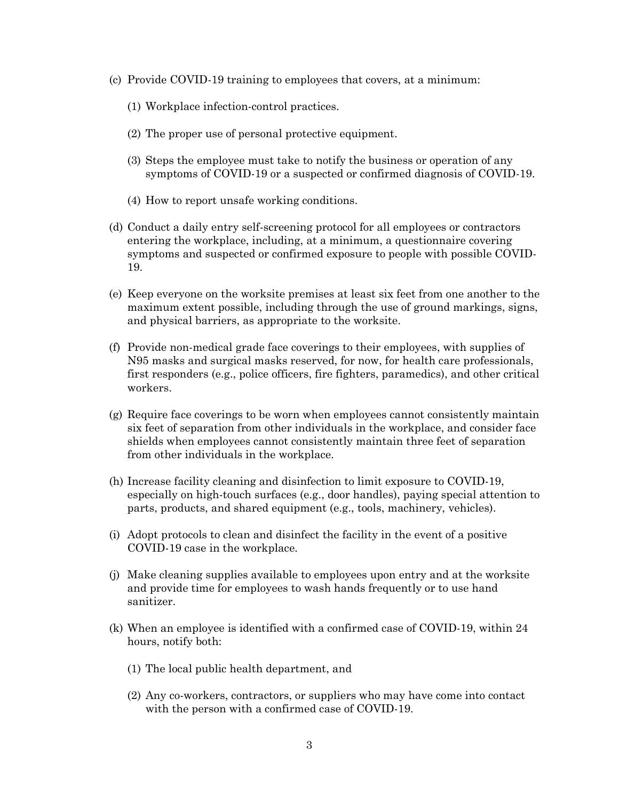- (c) Provide COVID-19 training to employees that covers, at a minimum:
	- (1) Workplace infection-control practices.
	- (2) The proper use of personal protective equipment.
	- (3) Steps the employee must take to notify the business or operation of any symptoms of COVID-19 or a suspected or confirmed diagnosis of COVID-19.
	- (4) How to report unsafe working conditions.
- (d) Conduct a daily entry self-screening protocol for all employees or contractors entering the workplace, including, at a minimum, a questionnaire covering symptoms and suspected or confirmed exposure to people with possible COVID-19.
- (e) Keep everyone on the worksite premises at least six feet from one another to the maximum extent possible, including through the use of ground markings, signs, and physical barriers, as appropriate to the worksite.
- (f) Provide non-medical grade face coverings to their employees, with supplies of N95 masks and surgical masks reserved, for now, for health care professionals, first responders (e.g., police officers, fire fighters, paramedics), and other critical workers.
- (g) Require face coverings to be worn when employees cannot consistently maintain six feet of separation from other individuals in the workplace, and consider face shields when employees cannot consistently maintain three feet of separation from other individuals in the workplace.
- (h) Increase facility cleaning and disinfection to limit exposure to COVID-19, especially on high-touch surfaces (e.g., door handles), paying special attention to parts, products, and shared equipment (e.g., tools, machinery, vehicles).
- (i) Adopt protocols to clean and disinfect the facility in the event of a positive COVID-19 case in the workplace.
- (j) Make cleaning supplies available to employees upon entry and at the worksite and provide time for employees to wash hands frequently or to use hand sanitizer.
- (k) When an employee is identified with a confirmed case of COVID-19, within 24 hours, notify both:
	- (1) The local public health department, and
	- (2) Any co-workers, contractors, or suppliers who may have come into contact with the person with a confirmed case of COVID-19.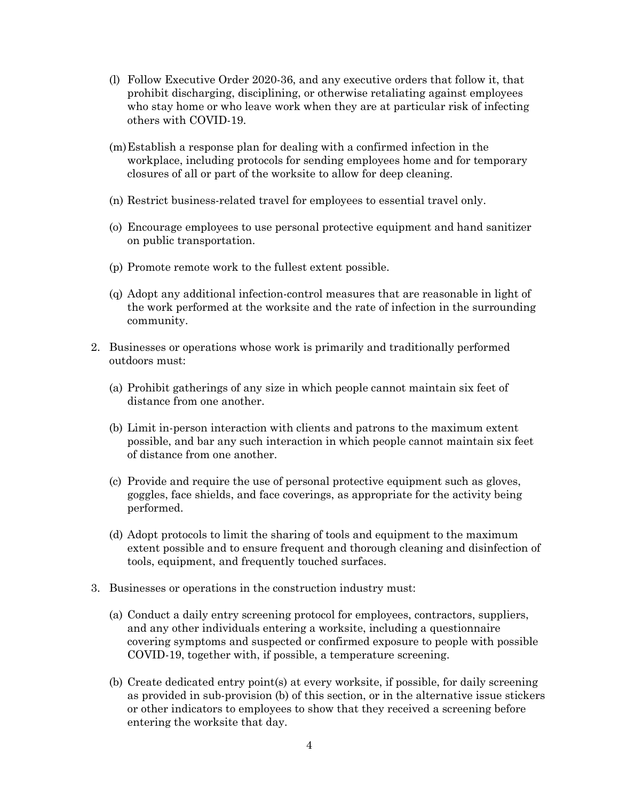- (l) Follow Executive Order 2020-36, and any executive orders that follow it, that prohibit discharging, disciplining, or otherwise retaliating against employees who stay home or who leave work when they are at particular risk of infecting others with COVID-19.
- (m)Establish a response plan for dealing with a confirmed infection in the workplace, including protocols for sending employees home and for temporary closures of all or part of the worksite to allow for deep cleaning.
- (n) Restrict business-related travel for employees to essential travel only.
- (o) Encourage employees to use personal protective equipment and hand sanitizer on public transportation.
- (p) Promote remote work to the fullest extent possible.
- (q) Adopt any additional infection-control measures that are reasonable in light of the work performed at the worksite and the rate of infection in the surrounding community.
- 2. Businesses or operations whose work is primarily and traditionally performed outdoors must:
	- (a) Prohibit gatherings of any size in which people cannot maintain six feet of distance from one another.
	- (b) Limit in-person interaction with clients and patrons to the maximum extent possible, and bar any such interaction in which people cannot maintain six feet of distance from one another.
	- (c) Provide and require the use of personal protective equipment such as gloves, goggles, face shields, and face coverings, as appropriate for the activity being performed.
	- (d) Adopt protocols to limit the sharing of tools and equipment to the maximum extent possible and to ensure frequent and thorough cleaning and disinfection of tools, equipment, and frequently touched surfaces.
- 3. Businesses or operations in the construction industry must:
	- (a) Conduct a daily entry screening protocol for employees, contractors, suppliers, and any other individuals entering a worksite, including a questionnaire covering symptoms and suspected or confirmed exposure to people with possible COVID-19, together with, if possible, a temperature screening.
	- (b) Create dedicated entry point(s) at every worksite, if possible, for daily screening as provided in sub-provision (b) of this section, or in the alternative issue stickers or other indicators to employees to show that they received a screening before entering the worksite that day.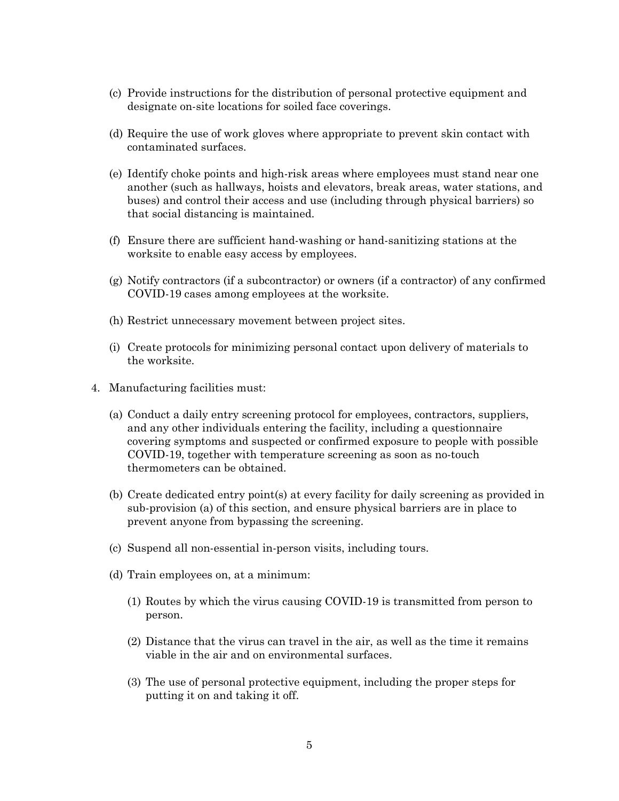- (c) Provide instructions for the distribution of personal protective equipment and designate on-site locations for soiled face coverings.
- (d) Require the use of work gloves where appropriate to prevent skin contact with contaminated surfaces.
- (e) Identify choke points and high-risk areas where employees must stand near one another (such as hallways, hoists and elevators, break areas, water stations, and buses) and control their access and use (including through physical barriers) so that social distancing is maintained.
- (f) Ensure there are sufficient hand-washing or hand-sanitizing stations at the worksite to enable easy access by employees.
- (g) Notify contractors (if a subcontractor) or owners (if a contractor) of any confirmed COVID-19 cases among employees at the worksite.
- (h) Restrict unnecessary movement between project sites.
- (i) Create protocols for minimizing personal contact upon delivery of materials to the worksite.
- 4. Manufacturing facilities must:
	- (a) Conduct a daily entry screening protocol for employees, contractors, suppliers, and any other individuals entering the facility, including a questionnaire covering symptoms and suspected or confirmed exposure to people with possible COVID-19, together with temperature screening as soon as no-touch thermometers can be obtained.
	- (b) Create dedicated entry point(s) at every facility for daily screening as provided in sub-provision (a) of this section, and ensure physical barriers are in place to prevent anyone from bypassing the screening.
	- (c) Suspend all non-essential in-person visits, including tours.
	- (d) Train employees on, at a minimum:
		- (1) Routes by which the virus causing COVID-19 is transmitted from person to person.
		- (2) Distance that the virus can travel in the air, as well as the time it remains viable in the air and on environmental surfaces.
		- (3) The use of personal protective equipment, including the proper steps for putting it on and taking it off.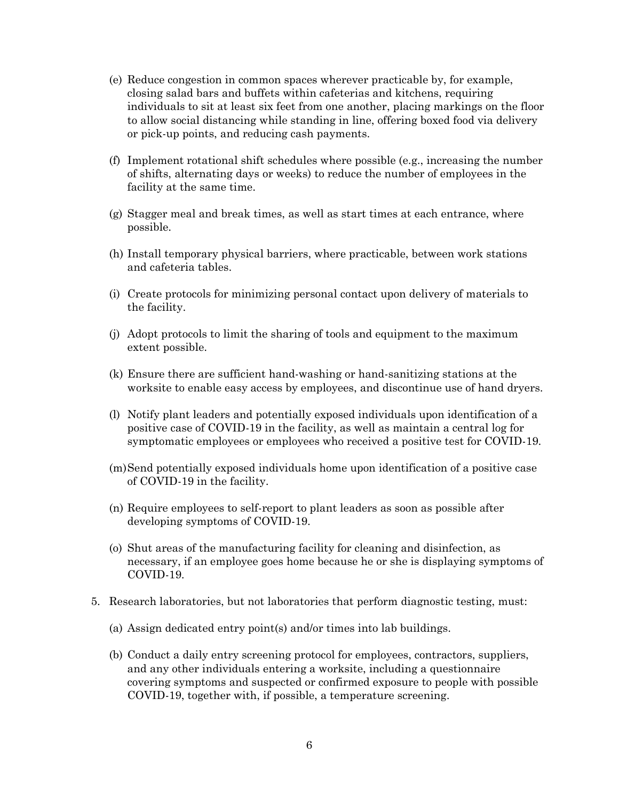- (e) Reduce congestion in common spaces wherever practicable by, for example, closing salad bars and buffets within cafeterias and kitchens, requiring individuals to sit at least six feet from one another, placing markings on the floor to allow social distancing while standing in line, offering boxed food via delivery or pick-up points, and reducing cash payments.
- (f) Implement rotational shift schedules where possible (e.g., increasing the number of shifts, alternating days or weeks) to reduce the number of employees in the facility at the same time.
- (g) Stagger meal and break times, as well as start times at each entrance, where possible.
- (h) Install temporary physical barriers, where practicable, between work stations and cafeteria tables.
- (i) Create protocols for minimizing personal contact upon delivery of materials to the facility.
- (j) Adopt protocols to limit the sharing of tools and equipment to the maximum extent possible.
- (k) Ensure there are sufficient hand-washing or hand-sanitizing stations at the worksite to enable easy access by employees, and discontinue use of hand dryers.
- (l) Notify plant leaders and potentially exposed individuals upon identification of a positive case of COVID-19 in the facility, as well as maintain a central log for symptomatic employees or employees who received a positive test for COVID-19.
- (m)Send potentially exposed individuals home upon identification of a positive case of COVID-19 in the facility.
- (n) Require employees to self-report to plant leaders as soon as possible after developing symptoms of COVID-19.
- (o) Shut areas of the manufacturing facility for cleaning and disinfection, as necessary, if an employee goes home because he or she is displaying symptoms of COVID-19.
- 5. Research laboratories, but not laboratories that perform diagnostic testing, must:
	- (a) Assign dedicated entry point(s) and/or times into lab buildings.
	- (b) Conduct a daily entry screening protocol for employees, contractors, suppliers, and any other individuals entering a worksite, including a questionnaire covering symptoms and suspected or confirmed exposure to people with possible COVID-19, together with, if possible, a temperature screening.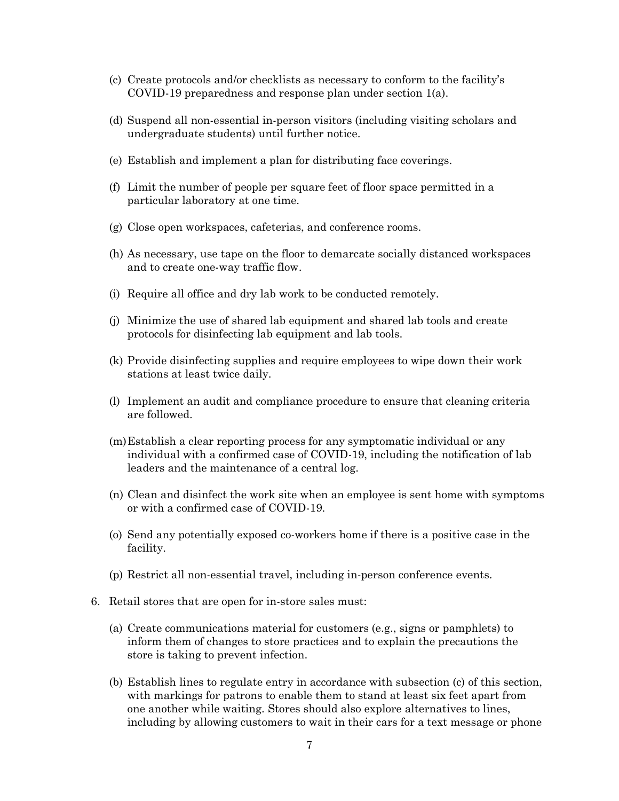- (c) Create protocols and/or checklists as necessary to conform to the facility's COVID-19 preparedness and response plan under section 1(a).
- (d) Suspend all non-essential in-person visitors (including visiting scholars and undergraduate students) until further notice.
- (e) Establish and implement a plan for distributing face coverings.
- (f) Limit the number of people per square feet of floor space permitted in a particular laboratory at one time.
- (g) Close open workspaces, cafeterias, and conference rooms.
- (h) As necessary, use tape on the floor to demarcate socially distanced workspaces and to create one-way traffic flow.
- (i) Require all office and dry lab work to be conducted remotely.
- (j) Minimize the use of shared lab equipment and shared lab tools and create protocols for disinfecting lab equipment and lab tools.
- (k) Provide disinfecting supplies and require employees to wipe down their work stations at least twice daily.
- (l) Implement an audit and compliance procedure to ensure that cleaning criteria are followed.
- (m)Establish a clear reporting process for any symptomatic individual or any individual with a confirmed case of COVID-19, including the notification of lab leaders and the maintenance of a central log.
- (n) Clean and disinfect the work site when an employee is sent home with symptoms or with a confirmed case of COVID-19.
- (o) Send any potentially exposed co-workers home if there is a positive case in the facility.
- (p) Restrict all non-essential travel, including in-person conference events.
- 6. Retail stores that are open for in-store sales must:
	- (a) Create communications material for customers (e.g., signs or pamphlets) to inform them of changes to store practices and to explain the precautions the store is taking to prevent infection.
	- (b) Establish lines to regulate entry in accordance with subsection (c) of this section, with markings for patrons to enable them to stand at least six feet apart from one another while waiting. Stores should also explore alternatives to lines, including by allowing customers to wait in their cars for a text message or phone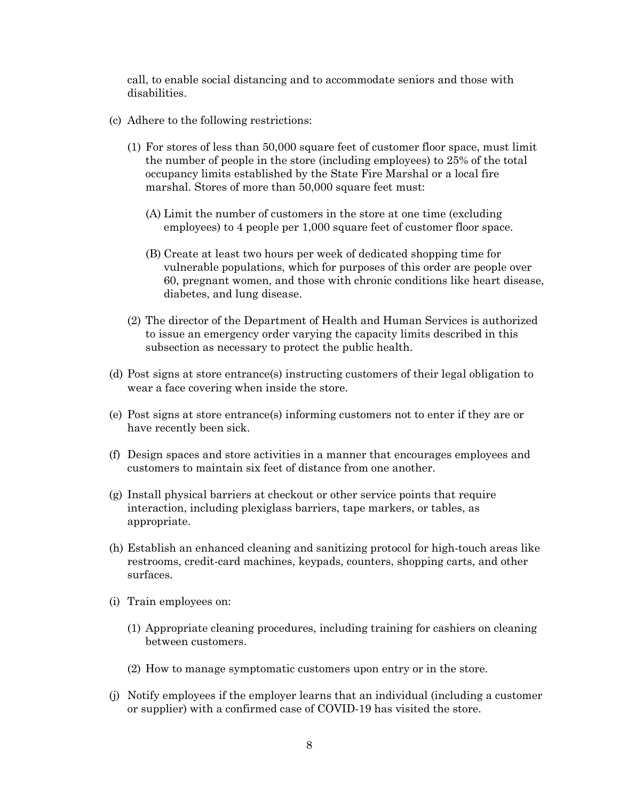call, to enable social distancing and to accommodate seniors and those with disabilities.

- (c) Adhere to the following restrictions:
	- (1) For stores of less than 50,000 square feet of customer floor space, must limit the number of people in the store (including employees) to 25% of the total occupancy limits established by the State Fire Marshal or a local fire marshal. Stores of more than 50,000 square feet must:
		- (A) Limit the number of customers in the store at one time (excluding employees) to 4 people per 1,000 square feet of customer floor space.
		- (B) Create at least two hours per week of dedicated shopping time for vulnerable populations, which for purposes of this order are people over 60, pregnant women, and those with chronic conditions like heart disease, diabetes, and lung disease.
	- (2) The director of the Department of Health and Human Services is authorized to issue an emergency order varying the capacity limits described in this subsection as necessary to protect the public health.
- (d) Post signs at store entrance(s) instructing customers of their legal obligation to wear a face covering when inside the store.
- (e) Post signs at store entrance(s) informing customers not to enter if they are or have recently been sick.
- (f) Design spaces and store activities in a manner that encourages employees and customers to maintain six feet of distance from one another.
- (g) Install physical barriers at checkout or other service points that require interaction, including plexiglass barriers, tape markers, or tables, as appropriate.
- (h) Establish an enhanced cleaning and sanitizing protocol for high-touch areas like restrooms, credit-card machines, keypads, counters, shopping carts, and other surfaces.
- (i) Train employees on:
	- (1) Appropriate cleaning procedures, including training for cashiers on cleaning between customers.
	- (2) How to manage symptomatic customers upon entry or in the store.
- (j) Notify employees if the employer learns that an individual (including a customer or supplier) with a confirmed case of COVID-19 has visited the store.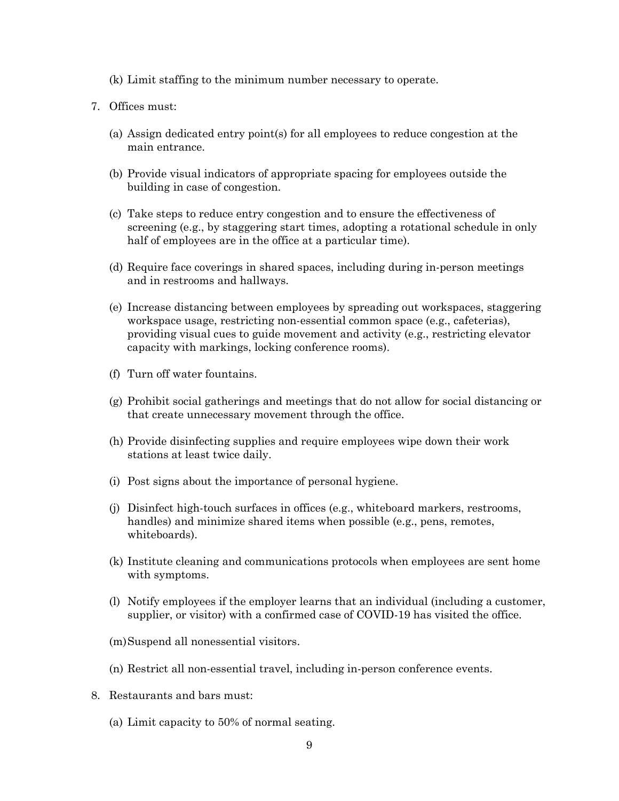- (k) Limit staffing to the minimum number necessary to operate.
- 7. Offices must:
	- (a) Assign dedicated entry point(s) for all employees to reduce congestion at the main entrance.
	- (b) Provide visual indicators of appropriate spacing for employees outside the building in case of congestion.
	- (c) Take steps to reduce entry congestion and to ensure the effectiveness of screening (e.g., by staggering start times, adopting a rotational schedule in only half of employees are in the office at a particular time).
	- (d) Require face coverings in shared spaces, including during in-person meetings and in restrooms and hallways.
	- (e) Increase distancing between employees by spreading out workspaces, staggering workspace usage, restricting non-essential common space (e.g., cafeterias), providing visual cues to guide movement and activity (e.g., restricting elevator capacity with markings, locking conference rooms).
	- (f) Turn off water fountains.
	- (g) Prohibit social gatherings and meetings that do not allow for social distancing or that create unnecessary movement through the office.
	- (h) Provide disinfecting supplies and require employees wipe down their work stations at least twice daily.
	- (i) Post signs about the importance of personal hygiene.
	- (j) Disinfect high-touch surfaces in offices (e.g., whiteboard markers, restrooms, handles) and minimize shared items when possible (e.g., pens, remotes, whiteboards).
	- (k) Institute cleaning and communications protocols when employees are sent home with symptoms.
	- (l) Notify employees if the employer learns that an individual (including a customer, supplier, or visitor) with a confirmed case of COVID-19 has visited the office.
	- (m)Suspend all nonessential visitors.
	- (n) Restrict all non-essential travel, including in-person conference events.
- 8. Restaurants and bars must:
	- (a) Limit capacity to 50% of normal seating.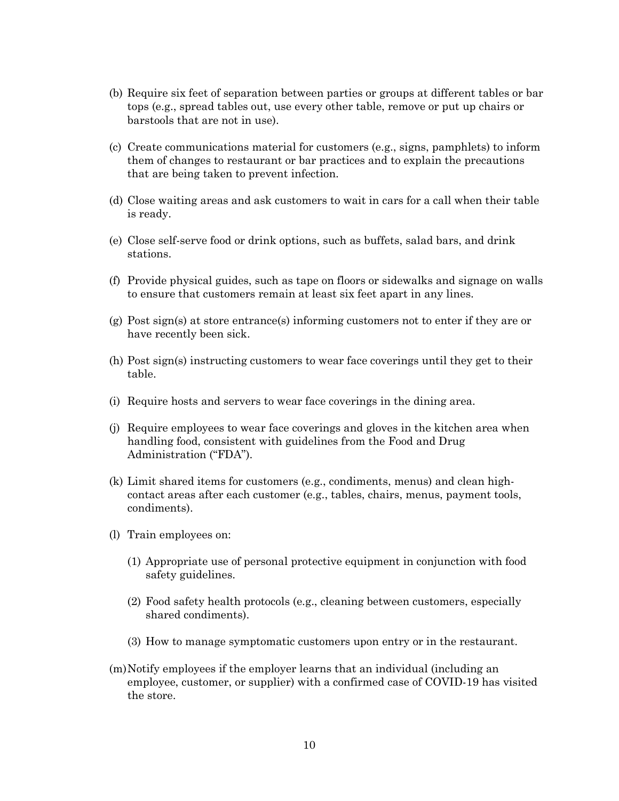- (b) Require six feet of separation between parties or groups at different tables or bar tops (e.g., spread tables out, use every other table, remove or put up chairs or barstools that are not in use).
- (c) Create communications material for customers (e.g., signs, pamphlets) to inform them of changes to restaurant or bar practices and to explain the precautions that are being taken to prevent infection.
- (d) Close waiting areas and ask customers to wait in cars for a call when their table is ready.
- (e) Close self-serve food or drink options, such as buffets, salad bars, and drink stations.
- (f) Provide physical guides, such as tape on floors or sidewalks and signage on walls to ensure that customers remain at least six feet apart in any lines.
- (g) Post sign(s) at store entrance(s) informing customers not to enter if they are or have recently been sick.
- (h) Post sign(s) instructing customers to wear face coverings until they get to their table.
- (i) Require hosts and servers to wear face coverings in the dining area.
- (j) Require employees to wear face coverings and gloves in the kitchen area when handling food, consistent with guidelines from the Food and Drug Administration ("FDA").
- (k) Limit shared items for customers (e.g., condiments, menus) and clean highcontact areas after each customer (e.g., tables, chairs, menus, payment tools, condiments).
- (l) Train employees on:
	- (1) Appropriate use of personal protective equipment in conjunction with food safety guidelines.
	- (2) Food safety health protocols (e.g., cleaning between customers, especially shared condiments).
	- (3) How to manage symptomatic customers upon entry or in the restaurant.
- (m)Notify employees if the employer learns that an individual (including an employee, customer, or supplier) with a confirmed case of COVID-19 has visited the store.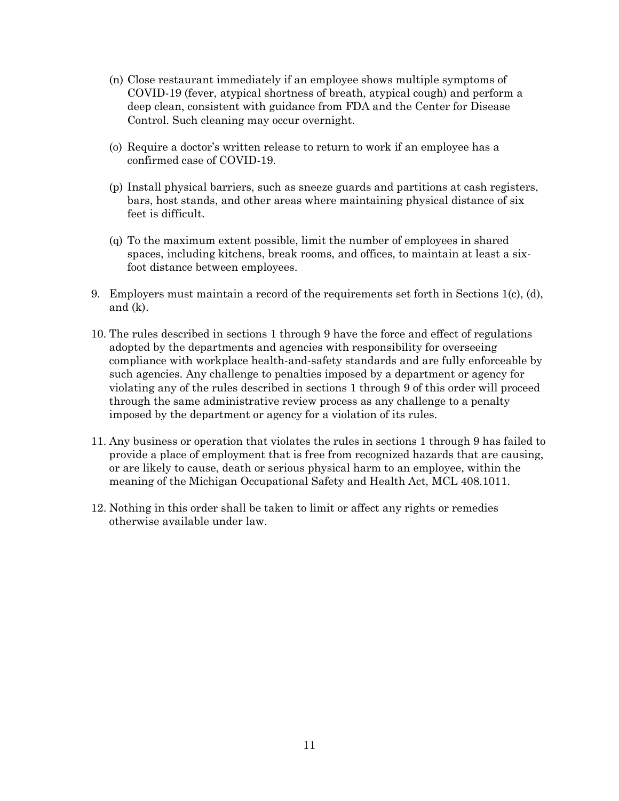- (n) Close restaurant immediately if an employee shows multiple symptoms of COVID-19 (fever, atypical shortness of breath, atypical cough) and perform a deep clean, consistent with guidance from FDA and the Center for Disease Control. Such cleaning may occur overnight.
- (o) Require a doctor's written release to return to work if an employee has a confirmed case of COVID-19.
- (p) Install physical barriers, such as sneeze guards and partitions at cash registers, bars, host stands, and other areas where maintaining physical distance of six feet is difficult.
- (q) To the maximum extent possible, limit the number of employees in shared spaces, including kitchens, break rooms, and offices, to maintain at least a sixfoot distance between employees.
- 9. Employers must maintain a record of the requirements set forth in Sections 1(c), (d), and (k).
- 10. The rules described in sections 1 through 9 have the force and effect of regulations adopted by the departments and agencies with responsibility for overseeing compliance with workplace health-and-safety standards and are fully enforceable by such agencies. Any challenge to penalties imposed by a department or agency for violating any of the rules described in sections 1 through 9 of this order will proceed through the same administrative review process as any challenge to a penalty imposed by the department or agency for a violation of its rules.
- 11. Any business or operation that violates the rules in sections 1 through 9 has failed to provide a place of employment that is free from recognized hazards that are causing, or are likely to cause, death or serious physical harm to an employee, within the meaning of the Michigan Occupational Safety and Health Act, MCL 408.1011.
- 12. Nothing in this order shall be taken to limit or affect any rights or remedies otherwise available under law.